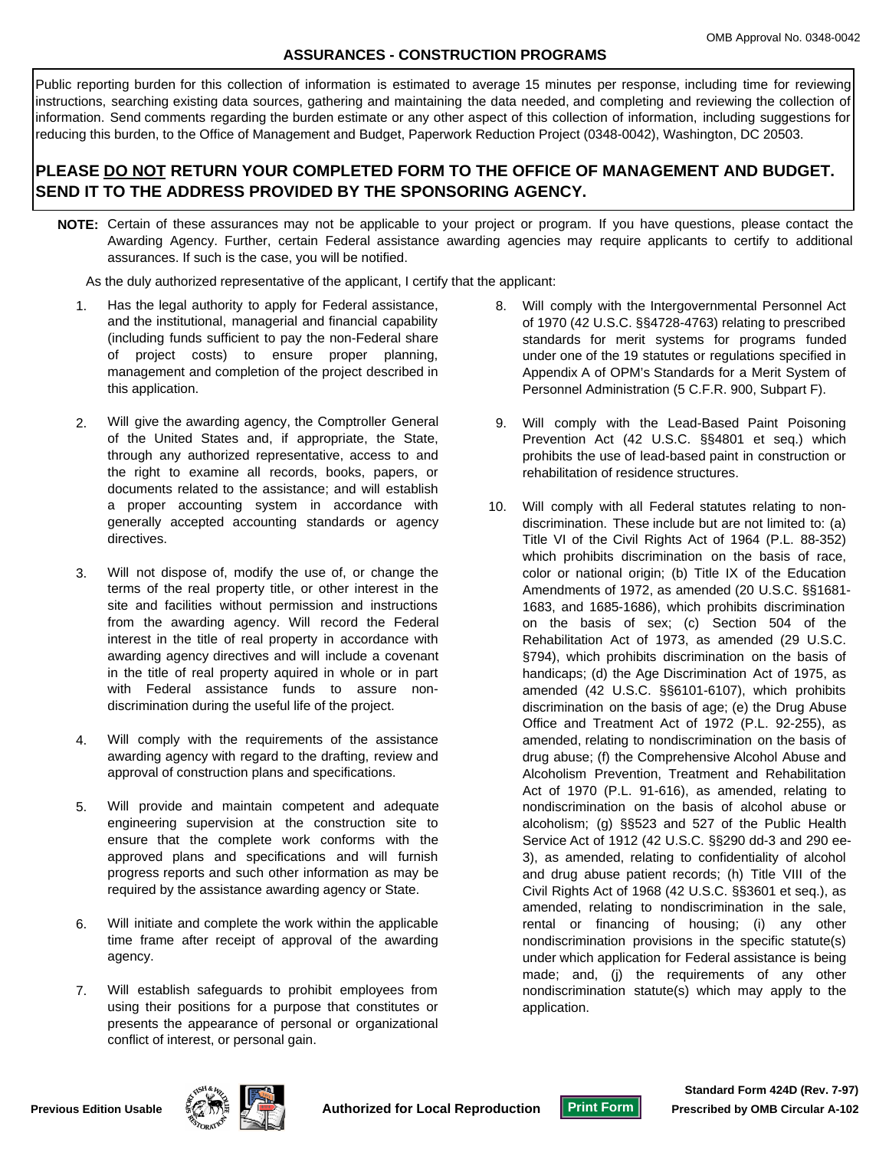## **ASSURANCES - CONSTRUCTION PROGRAMS**

Public reporting burden for this collection of information is estimated to average 15 minutes per response, including time for reviewing instructions, searching existing data sources, gathering and maintaining the data needed, and completing and reviewing the collection of information. Send comments regarding the burden estimate or any other aspect of this collection of information, including suggestions for reducing this burden, to the Office of Management and Budget, Paperwork Reduction Project (0348-0042), Washington, DC 20503.

## **PLEASE DO NOT RETURN YOUR COMPLETED FORM TO THE OFFICE OF MANAGEMENT AND BUDGET. SEND IT TO THE ADDRESS PROVIDED BY THE SPONSORING AGENCY.**

**NOTE:** Certain of these assurances may not be applicable to your project or program. If you have questions, please contact the Awarding Agency. Further, certain Federal assistance awarding agencies may require applicants to certify to additional assurances. If such is the case, you will be notified.

As the duly authorized representative of the applicant, I certify that the applicant:

- 1. Has the legal authority to apply for Federal assistance, and the institutional, managerial and financial capability (including funds sufficient to pay the non-Federal share of project costs) to ensure proper planning, management and completion of the project described in this application.
- 2. Will give the awarding agency, the Comptroller General of the United States and, if appropriate, the State, through any authorized representative, access to and the right to examine all records, books, papers, or documents related to the assistance; and will establish a proper accounting system in accordance with generally accepted accounting standards or agency directives.
- 3. Will not dispose of, modify the use of, or change the terms of the real property title, or other interest in the site and facilities without permission and instructions from the awarding agency. Will record the Federal interest in the title of real property in accordance with awarding agency directives and will include a covenant in the title of real property aquired in whole or in part with Federal assistance funds to assure nondiscrimination during the useful life of the project.
- 4. Will comply with the requirements of the assistance awarding agency with regard to the drafting, review and approval of construction plans and specifications.
- 5. Will provide and maintain competent and adequate engineering supervision at the construction site to ensure that the complete work conforms with the approved plans and specifications and will furnish progress reports and such other information as may be required by the assistance awarding agency or State.
- 6. Will initiate and complete the work within the applicable time frame after receipt of approval of the awarding agency.
- 7. Will establish safeguards to prohibit employees from using their positions for a purpose that constitutes or presents the appearance of personal or organizational conflict of interest, or personal gain.
- 8. Will comply with the Intergovernmental Personnel Act of 1970 (42 U.S.C. §§4728-4763) relating to prescribed standards for merit systems for programs funded under one of the 19 statutes or regulations specified in Appendix A of OPM's Standards for a Merit System of Personnel Administration (5 C.F.R. 900, Subpart F).
- 9. Will comply with the Lead-Based Paint Poisoning Prevention Act (42 U.S.C. §§4801 et seq.) which prohibits the use of lead-based paint in construction or rehabilitation of residence structures.
- Service Act of 1912 (42 U.S.C. §§290 dd-3 and 290 ee-10. Will comply with all Federal statutes relating to nondiscrimination. These include but are not limited to: (a) Title VI of the Civil Rights Act of 1964 (P.L. 88-352) which prohibits discrimination on the basis of race, color or national origin; (b) Title IX of the Education Amendments of 1972, as amended (20 U.S.C. §§1681 1683, and 1685-1686), which prohibits discrimination on the basis of sex; (c) Section 504 of the Rehabilitation Act of 1973, as amended (29 U.S.C. §794), which prohibits discrimination on the basis of handicaps; (d) the Age Discrimination Act of 1975, as amended (42 U.S.C. §§6101-6107), which prohibits discrimination on the basis of age; (e) the Drug Abuse Office and Treatment Act of 1972 (P.L. 92-255), as amended, relating to nondiscrimination on the basis of drug abuse; (f) the Comprehensive Alcohol Abuse and Alcoholism Prevention, Treatment and Rehabilitation Act of 1970 (P.L. 91-616), as amended, relating to nondiscrimination on the basis of alcohol abuse or alcoholism; (g) §§523 and 527 of the Public Health 3), as amended, relating to confidentiality of alcohol and drug abuse patient records; (h) Title VIII of the Civil Rights Act of 1968 (42 U.S.C. §§3601 et seq.), as amended, relating to nondiscrimination in the sale, rental or financing of housing; (i) any other nondiscrimination provisions in the specific statute(s) under which application for Federal assistance is being made; and, (j) the requirements of any other nondiscrimination statute(s) which may apply to the application.